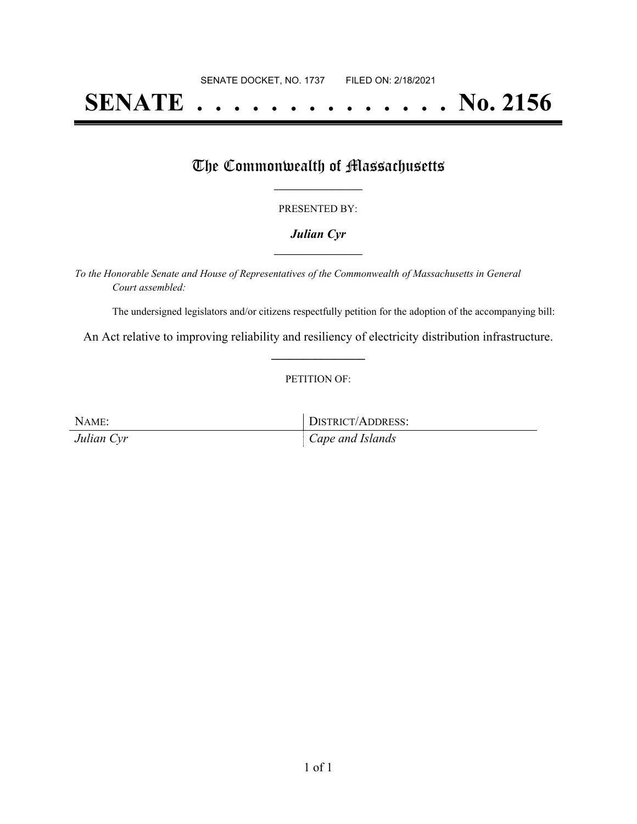# **SENATE . . . . . . . . . . . . . . No. 2156**

### The Commonwealth of Massachusetts

#### PRESENTED BY:

#### *Julian Cyr* **\_\_\_\_\_\_\_\_\_\_\_\_\_\_\_\_\_**

*To the Honorable Senate and House of Representatives of the Commonwealth of Massachusetts in General Court assembled:*

The undersigned legislators and/or citizens respectfully petition for the adoption of the accompanying bill:

An Act relative to improving reliability and resiliency of electricity distribution infrastructure. **\_\_\_\_\_\_\_\_\_\_\_\_\_\_\_**

#### PETITION OF:

| NAME:      | DISTRICT/ADDRESS: |
|------------|-------------------|
| Julian Cyr | Cape and Islands  |